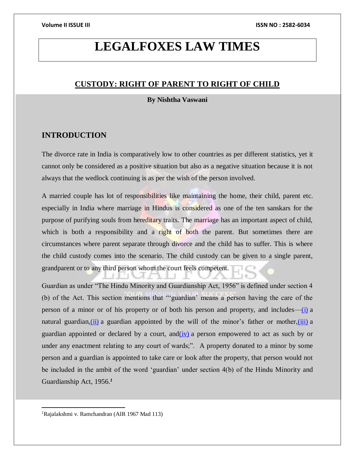# **LEGALFOXES LAW TIMES**

# **CUSTODY: RIGHT OF PARENT TO RIGHT OF CHILD**

## **By Nishtha Vaswani**

# **INTRODUCTION**

The divorce rate in India is comparatively low to other countries as per different statistics, yet it cannot only be considered as a positive situation but also as a negative situation because it is not always that the wedlock continuing is as per the wish of the person involved.

A married couple has lot of responsibilities like maintaining the home, their child, parent etc. especially in India where marriage in Hindus is considered as one of the ten sanskars for the purpose of purifying souls from hereditary traits. The marriage has an important aspect of child, which is both a responsibility and a right of both the parent. But sometimes there are circumstances where parent separate through divorce and the child has to suffer. This is where the child custody comes into the scenario. The child custody can be given to a single parent, grandparent or to any third person whom the court feels competent.

Guardian as under "The Hindu Minority and Guardianship Act, 1956" is defined under section 4 (b) of the Act. This section mentions that "'guardian' means a person having the care of the person of a minor or of his property or of both his person and property, and includes[—\(i\)](https://indiankanoon.org/doc/65145111/) a natural guardian, $(i)$  a guardian appointed by the will of the minor's father or mother, $(iii)$  a guardian appointed or declared by a court,  $and(iy)$  a person empowered to act as such by or under any enactment relating to any court of wards;". A property donated to a minor by some person and a guardian is appointed to take care or look after the property, that person would not be included in the ambit of the word 'guardian' under section 4(b) of the Hindu Minority and Guardianship Act, 1956.*<sup>1</sup>*

 $\overline{a}$ 

<sup>1</sup>Rajalakshmi v. Ramchandran (AIR 1967 Mad 113)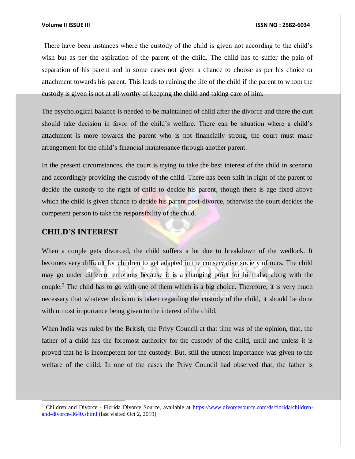There have been instances where the custody of the child is given not according to the child's wish but as per the aspiration of the parent of the child. The child has to suffer the pain of separation of his parent and in some cases not given a chance to choose as per his choice or attachment towards his parent. This leads to ruining the life of the child if the parent to whom the custody is given is not at all worthy of keeping the child and taking care of him.

The psychological balance is needed to be maintained of child after the divorce and there the curt should take decision in favor of the child's welfare. There can be situation where a child's attachment is more towards the parent who is not financially strong, the court must make arrangement for the child's financial maintenance through another parent.

In the present circumstances, the court is trying to take the best interest of the child in scenario and accordingly providing the custody of the child. There has been shift in right of the parent to decide the custody to the right of child to decide his parent, though there is age fixed above which the child is given chance to decide his parent post-divorce, otherwise the court decides the competent person to take the responsibility of the child.

# **CHILD'S INTEREST**

l

When a couple gets divorced, the child suffers a lot due to breakdown of the wedlock. It becomes very difficult for children to get adapted in the conservative society of ours. The child may go under different emotions because it is a changing point for him also along with the couple.<sup>2</sup> The child has to go with one of them which is a big choice. Therefore, it is very much necessary that whatever decision is taken regarding the custody of the child, it should be done with utmost importance being given to the interest of the child.

When India was ruled by the British, the Privy Council at that time was of the opinion, that, the father of a child has the foremost authority for the custody of the child, until and unless it is proved that he is incompetent for the custody. But, still the utmost importance was given to the welfare of the child. In one of the cases the Privy Council had observed that, the father is

<sup>2</sup> Children and Divorce - Florida Divorce Source, available at [https://www.divorcesource.com/ds/florida/children](https://www.divorcesource.com/ds/florida/children-and-divorce-3640.shtml)[and-divorce-3640.shtml](https://www.divorcesource.com/ds/florida/children-and-divorce-3640.shtml) (last visited Oct 2, 2019)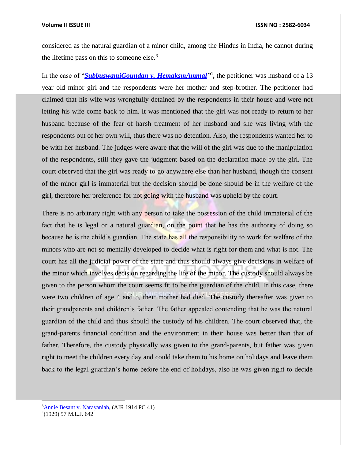considered as the natural guardian of a minor child, among the Hindus in India, he cannot during the lifetime pass on this to someone else. $3$ 

In the case of "*SubbuswamiGoundan v. HemaksmAmmal*<sup>34</sup>, the petitioner was husband of a 13 year old minor girl and the respondents were her mother and step-brother. The petitioner had claimed that his wife was wrongfully detained by the respondents in their house and were not letting his wife come back to him. It was mentioned that the girl was not ready to return to her husband because of the fear of harsh treatment of her husband and she was living with the respondents out of her own will, thus there was no detention. Also, the respondents wanted her to be with her husband. The judges were aware that the will of the girl was due to the manipulation of the respondents, still they gave the judgment based on the declaration made by the girl. The court observed that the girl was ready to go anywhere else than her husband, though the consent of the minor girl is immaterial but the decision should be done should be in the welfare of the girl, therefore her preference for not going with the husband was upheld by the court.

There is no arbitrary right with any person to take the possession of the child immaterial of the fact that he is legal or a natural guardian, on the point that he has the authority of doing so because he is the child's guardian. The state has all the responsibility to work for welfare of the minors who are not so mentally developed to decide what is right for them and what is not. The court has all the judicial power of the state and thus should always give decisions in welfare of the minor which involves decision regarding the life of the minor. The custody should always be given to the person whom the court seems fit to be the guardian of the child. In this case, there were two children of age 4 and 5, their mother had died. The custody thereafter was given to their grandparents and children's father. The father appealed contending that he was the natural guardian of the child and thus should the custody of his children. The court observed that, the grand-parents financial condition and the environment in their house was better than that of father. Therefore, the custody physically was given to the grand-parents, but father was given right to meet the children every day and could take them to his home on holidays and leave them back to the legal guardian's home before the end of holidays, also he was given right to decide

<sup>3</sup>[Annie Besant v. Narayaniah,](https://indiankanoon.org/doc/1214788/) (AIR 1914 PC 41) 4 (1929) 57 M.L.J. 642

l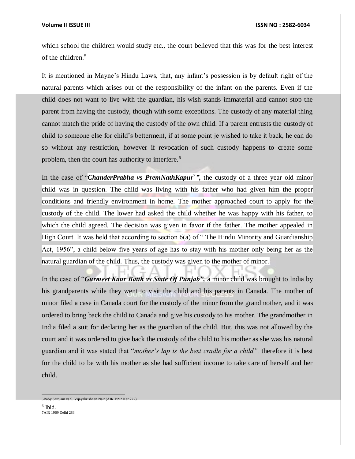which school the children would study etc., the court believed that this was for the best interest of the children.<sup>5</sup>

It is mentioned in Mayne's Hindu Laws, that, any infant's possession is by default right of the natural parents which arises out of the responsibility of the infant on the parents. Even if the child does not want to live with the guardian, his wish stands immaterial and cannot stop the parent from having the custody, though with some exceptions. The custody of any material thing cannot match the pride of having the custody of the own child. If a parent entrusts the custody of child to someone else for child's betterment, if at some point je wished to take it back, he can do so without any restriction, however if revocation of such custody happens to create some problem, then the court has authority to interfere.<sup>6</sup>

In the case of "*ChanderPrabha vs PremNathKapur<sup>7</sup>*", the custody of a three year old minor child was in question. The child was living with his father who had given him the proper conditions and friendly environment in home. The mother approached court to apply for the custody of the child. The lower had asked the child whether he was happy with his father, to which the child agreed. The decision was given in favor if the father. The mother appealed in High Court. It was held that according to section 6(a) of "The Hindu Minority and Guardianship Act, 1956", a child below five years of age has to stay with his mother only being her as the natural guardian of the child. Thus, the custody was given to the mother of minor.

In the case of "*Gurmeet Kaur Batth vs State Of Punjab",* a minor child was brought to India by his grandparents while they went to visit the child and his parents in Canada. The mother of minor filed a case in Canada court for the custody of the minor from the grandmother, and it was ordered to bring back the child to Canada and give his custody to his mother. The grandmother in India filed a suit for declaring her as the guardian of the child. But, this was not allowed by the court and it was ordered to give back the custody of the child to his mother as she was his natural guardian and it was stated that "*mother's lap is the best cradle for a child",* therefore it is best for the child to be with his mother as she had sufficient income to take care of herself and her child.

5Baby Sarojam vs S. Vijayakrishnan Nair (AIR 1992 Ker 277)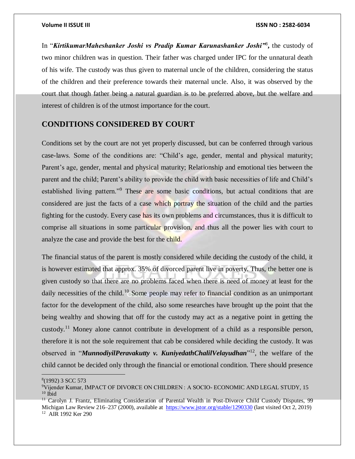In "*KirtikumarMaheshanker Joshi vs Pradip Kumar Karunashanker Joshi"*<sup>8</sup> **,** the custody of two minor children was in question. Their father was charged under IPC for the unnatural death of his wife. The custody was thus given to maternal uncle of the children, considering the status of the children and their preference towards their maternal uncle. Also, it was observed by the court that though father being a natural guardian is to be preferred above, but the welfare and interest of children is of the utmost importance for the court.

# **CONDITIONS CONSIDERED BY COURT**

Conditions set by the court are not yet properly discussed, but can be conferred through various case-laws. Some of the conditions are: "Child's age, gender, mental and physical maturity; Parent's age, gender, mental and physical maturity; Relationship and emotional ties between the parent and the child; Parent's ability to provide the child with basic necessities of life and Child's established living pattern."<sup>9</sup> These are some basic conditions, but actual conditions that are considered are just the facts of a case which portray the situation of the child and the parties fighting for the custody. Every case has its own problems and circumstances, thus it is difficult to comprise all situations in some particular provision, and thus all the power lies with court to analyze the case and provide the best for the child.

The financial status of the parent is mostly considered while deciding the custody of the child, it is however estimated that approx. 35% of divorced parent live in poverty. Thus, the better one is given custody so that there are no problems faced when there is need of money at least for the daily necessities of the child.<sup>10</sup> Some people may refer to financial condition as an unimportant factor for the development of the child, also some researches have brought up the point that the being wealthy and showing that off for the custody may act as a negative point in getting the custody.<sup>11</sup> Money alone cannot contribute in development of a child as a responsible person, therefore it is not the sole requirement that cab be considered while deciding the custody. It was observed in "*MunnodiyilPeravakutty v. KuniyedathChalilVelayudhan*" <sup>12</sup>, the welfare of the child cannot be decided only through the financial or emotional condition. There should presence

 $\overline{a}$ 8 (1992) 3 SCC 573

<sup>9</sup>Vijender Kumar, IMPACT OF DIVORCE ON CHILDREN : A SOCIO- ECONOMIC AND LEGAL STUDY, 15  $10$  Ibid

<sup>&</sup>lt;sup>11</sup> Carolyn J. Frantz, Eliminating Consideration of Parental Wealth in Post-Divorce Child Custody Disputes, 99 Michigan Law Review 216–237 (2000), available at <https://www.jstor.org/stable/1290330> (last visited Oct 2, 2019) 12 AIR 1992 Ker 290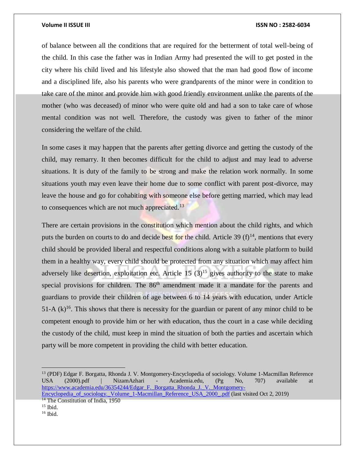of balance between all the conditions that are required for the betterment of total well-being of the child. In this case the father was in Indian Army had presented the will to get posted in the city where his child lived and his lifestyle also showed that the man had good flow of income and a disciplined life, also his parents who were grandparents of the minor were in condition to take care of the minor and provide him with good friendly environment unlike the parents of the mother (who was deceased) of minor who were quite old and had a son to take care of whose mental condition was not well. Therefore, the custody was given to father of the minor considering the welfare of the child.

In some cases it may happen that the parents after getting divorce and getting the custody of the child, may remarry. It then becomes difficult for the child to adjust and may lead to adverse situations. It is duty of the family to be strong and make the relation work normally. In some situations youth may even leave their home due to some conflict with parent post-divorce, may leave the house and go for cohabiting with someone else before getting married, which may lead to consequences which are not much appreciated.<sup>13</sup>

There are certain provisions in the constitution which mention about the child rights, and which puts the burden on courts to do and decide best for the child. Article 39  $(f)^{14}$ , mentions that every child should be provided liberal and respectful conditions along with a suitable platform to build them in a healthy way, every child should be protected from any situation which may affect him adversely like desertion, exploitation etc. Article 15  $(3)^{15}$  gives authority to the state to make special provisions for children. The 86<sup>th</sup> amendment made it a mandate for the parents and guardians to provide their children of age between 6 to 14 years with education, under Article 51-A  $(k)$ <sup>16</sup>. This shows that there is necessity for the guardian or parent of any minor child to be competent enough to provide him or her with education, thus the court in a case while deciding the custody of the child, must keep in mind the situation of both the parties and ascertain which party will be more competent in providing the child with better education.

 $\overline{a}$ 

<sup>13</sup> (PDF) Edgar F. Borgatta, Rhonda J. V. Montgomery-Encyclopedia of sociology. Volume 1-Macmillan Reference USA (2000).pdf | NizamAzhari - Academia.edu, (Pg No, 707) available at [https://www.academia.edu/36354244/Edgar\\_F.\\_Borgatta\\_Rhonda\\_J.\\_V.\\_Montgomery-](https://www.academia.edu/36354244/Edgar_F._Borgatta_Rhonda_J._V._Montgomery-Encyclopedia_of_sociology._Volume_1-Macmillan_Reference_USA_2000_.pdf)

[Encyclopedia\\_of\\_sociology.\\_Volume\\_1-Macmillan\\_Reference\\_USA\\_2000\\_.pdf](https://www.academia.edu/36354244/Edgar_F._Borgatta_Rhonda_J._V._Montgomery-Encyclopedia_of_sociology._Volume_1-Macmillan_Reference_USA_2000_.pdf) (last visited Oct 2, 2019) <sup>14</sup> The Constitution of India, 1950

 $15$  Ibid.

<sup>16</sup> Ibid.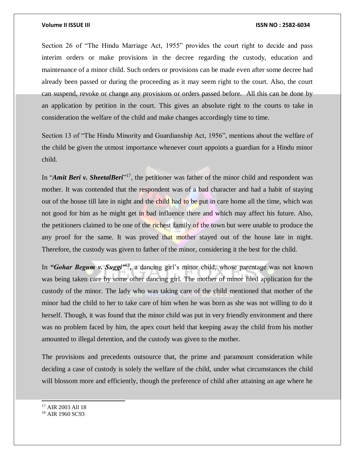Section 26 of "The Hindu Marriage Act, 1955" provides the court right to decide and pass interim orders or make provisions in the decree regarding the custody, education and maintenance of a minor child. Such orders or provisions can be made even after some decree had already been passed or during the proceeding as it may seem right to the court. Also, the court can suspend, revoke or change any provisions or orders passed before. All this can be done by an application by petition in the court. This gives an absolute right to the courts to take in consideration the welfare of the child and make changes accordingly time to time.

Section 13 of "The Hindu Minority and Guardianship Act, 1956", mentions about the welfare of the child be given the utmost importance whenever court appoints a guardian for a Hindu minor child.

In "*Amit Beri v. SheetalBeri*"<sup>17</sup>, the petitioner was father of the minor child and respondent was mother. It was contended that the respondent was of a bad character and had a habit of staying out of the house till late in night and the child had to be put in care home all the time, which was not good for him as he might get in bad influence there and which may affect his future. Also, the petitioners claimed to be one of the richest family of the town but were unable to produce the any proof for the same. It was proved that mother stayed out of the house late in night. Therefore, the custody was given to father of the minor, considering it the best for the child.

In "Gohar Begum v. Suggi<sup>"18</sup>, a dancing girl's minor child, whose parentage was not known was being taken care by some other dancing girl. The mother of minor filed application for the custody of the minor. The lady who was taking care of the child mentioned that mother of the minor had the child to her to take care of him when he was born as she was not willing to do it herself. Though, it was found that the minor child was put in very friendly environment and there was no problem faced by him, the apex court held that keeping away the child from his mother amounted to illegal detention, and the custody was given to the mother.

The provisions and precedents outsource that, the prime and paramount consideration while deciding a case of custody is solely the welfare of the child, under what circumstances the child will blossom more and efficiently, though the preference of child after attaining an age where he

<sup>17</sup> AIR 2003 All 18

l

<sup>18</sup> AIR 1960 SC93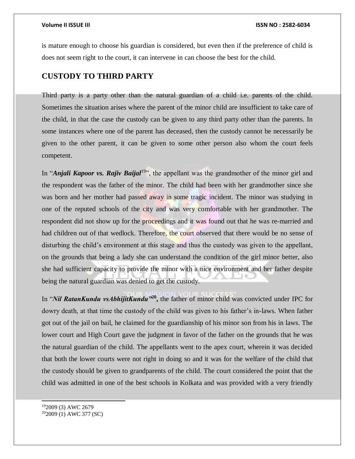is mature enough to choose his guardian is considered, but even then if the preference of child is does not seem right to the court, it can intervene in can choose the best for the child.

# **CUSTODY TO THIRD PARTY**

Third party is a party other than the natural guardian of a child i.e. parents of the child. Sometimes the situation arises where the parent of the minor child are insufficient to take care of the child, in that the case the custody can be given to any third party other than the parents. In some instances where one of the parent has deceased, then the custody cannot be necessarily be given to the other parent, it can be given to some other person also whom the court feels competent.

In "*Anjali Kapoor vs. Rajiv Baijal*<sup>19</sup>", the appellant was the grandmother of the minor girl and the respondent was the father of the minor. The child had been with her grandmother since she was born and her mother had passed away in some tragic incident. The minor was studying in one of the reputed schools of the city and was very comfortable with her grandmother. The respondent did not show up for the proceedings and it was found out that he was re-married and had children out of that wedlock. Therefore, the court observed that there would be no sense of disturbing the child's environment at this stage and thus the custody was given to the appellant, on the grounds that being a lady she can understand the condition of the girl minor better, also she had sufficient capacity to provide the minor with a nice environment and her father despite being the natural guardian was denied to get the custody.

In "*Nil RatanKundu vsAbhijitKundu"***<sup>20</sup> ,** the father of minor child was convicted under IPC for dowry death, at that time the custody of the child was given to his father's in-laws. When father got out of the jail on bail, he claimed for the guardianship of his minor son from his in laws. The lower court and High Court gave the judgment in favor of the father on the grounds that he was the natural guardian of the child. The appellants went to the apex court, wherein it was decided that both the lower courts were not right in doing so and it was for the welfare of the child that the custody should be given to grandparents of the child. The court considered the point that the child was admitted in one of the best schools in Kolkata and was provided with a very friendly

<sup>19</sup>2009 (3) AWC 2679 202009 (1) AWC 377 (SC)

l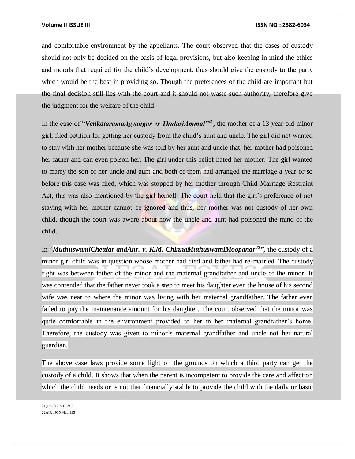and comfortable environment by the appellants. The court observed that the cases of custody should not only be decided on the basis of legal provisions, but also keeping in mind the ethics and morals that required for the child's development, thus should give the custody to the party which would be the best in providing so. Though the preferences of the child are important but the final decision still lies with the court and it should not waste such authority, therefore give the judgment for the welfare of the child.

In the case of "*VenkataramaAyyangar vs ThulasiAmmal"***<sup>21</sup> ,** the mother of a 13 year old minor girl, filed petition for getting her custody from the child's aunt and uncle. The girl did not wanted to stay with her mother because she was told by her aunt and uncle that, her mother had poisoned her father and can even poison her. The girl under this belief hated her mother. The girl wanted to marry the son of her uncle and aunt and both of them had arranged the marriage a year or so before this case was filed, which was stopped by her mother through Child Marriage Restraint Act, this was also mentioned by the girl herself. The court held that the girl's preference of not staying with her mother cannot be ignored and thus, her mother was not custody of her own child, though the court was aware about how the uncle and aunt had poisoned the mind of the child.

In "*MuthuswamiChettiar andAnr. v. K.M. ChinnaMuthuswamiMoopanar<sup>22</sup>",* the custody of a minor girl child was in question whose mother had died and father had re-married. The custody fight was between father of the minor and the maternal grandfather and uncle of the minor. It was contended that the father never took a step to meet his daughter even the house of his second wife was near to where the minor was living with her maternal grandfather. The father even failed to pay the maintenance amount for his daughter. The court observed that the minor was quite comfortable in the environment provided to her in her maternal grandfather's home. Therefore, the custody was given to minor's maternal grandfather and uncle not her natural guardian.

The above case laws provide some light on the grounds on which a third party can get the custody of a child. It shows that when the parent is incompetent to provide the care and affection which the child needs or is not that financially stable to provide the child with the daily or basic

 21(1949) 2 MLJ 802 22AIR 1935 Mad 195